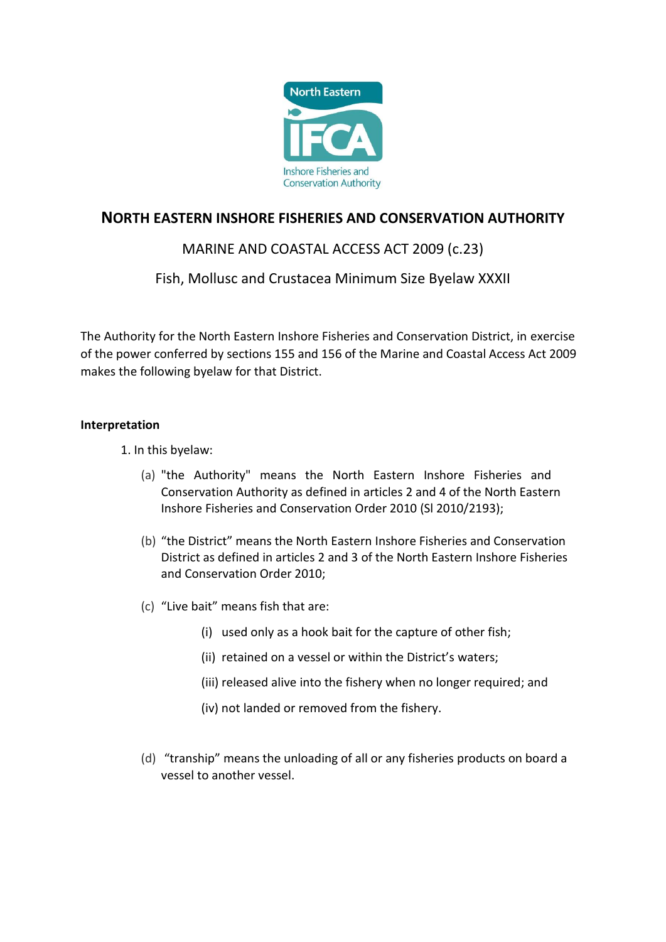

# **NORTH EASTERN INSHORE FISHERIES AND CONSERVATION AUTHORITY**

# MARINE AND COASTAL ACCESS ACT 2009 (c.23)

## Fish, Mollusc and Crustacea Minimum Size Byelaw XXXII

The Authority for the North Eastern Inshore Fisheries and Conservation District, in exercise of the power conferred by sections 155 and 156 of the Marine and Coastal Access Act 2009 makes the following byelaw for that District.

### **Interpretation**

1. In this byelaw:

- (a) "the Authority" means the North Eastern Inshore Fisheries and Conservation Authority as defined in articles 2 and 4 of the North Eastern Inshore Fisheries and Conservation Order 2010 (Sl 2010/2193);
- (b) "the District" means the North Eastern Inshore Fisheries and Conservation District as defined in articles 2 and 3 of the North Eastern Inshore Fisheries and Conservation Order 2010;
- (c) "Live bait" means fish that are:
	- (i) used only as a hook bait for the capture of other fish;
	- (ii) retained on a vessel or within the District's waters;
	- (iii) released alive into the fishery when no longer required; and
	- (iv) not landed or removed from the fishery.
- (d) "tranship" means the unloading of all or any fisheries products on board a vessel to another vessel.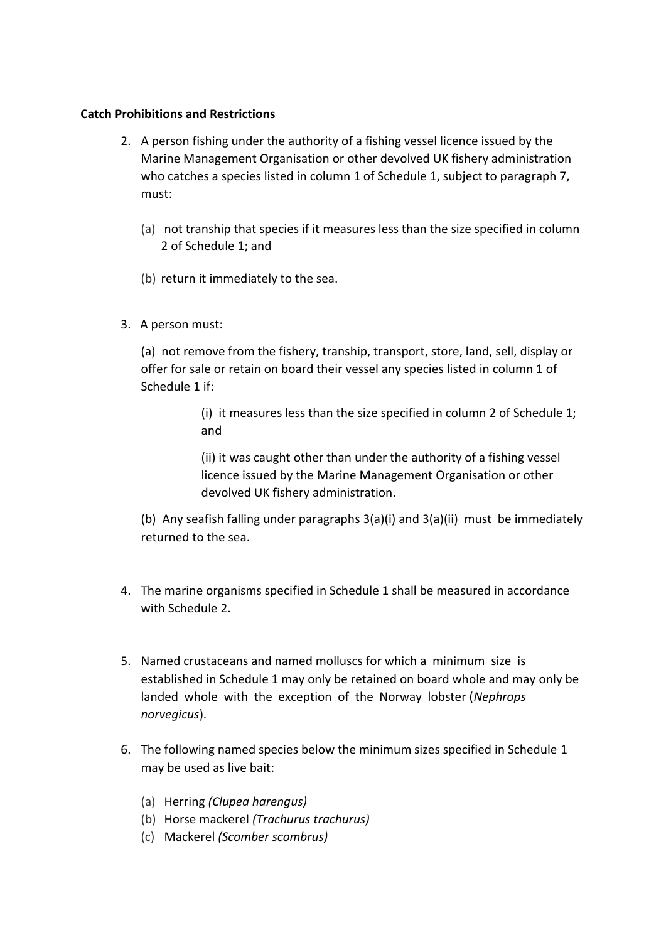### **Catch Prohibitions and Restrictions**

- 2. A person fishing under the authority of a fishing vessel licence issued by the Marine Management Organisation or other devolved UK fishery administration who catches a species listed in column 1 of Schedule 1, subject to paragraph 7, must:
	- (a) not tranship that species if it measures less than the size specified in column 2 of Schedule 1; and
	- (b) return it immediately to the sea.
- 3. A person must:

(a) not remove from the fishery, tranship, transport, store, land, sell, display or offer for sale or retain on board their vessel any species listed in column 1 of Schedule 1 if:

> (i) it measures less than the size specified in column 2 of Schedule 1; and

(ii) it was caught other than under the authority of a fishing vessel licence issued by the Marine Management Organisation or other devolved UK fishery administration.

(b) Any seafish falling under paragraphs 3(a)(i) and 3(a)(ii) must be immediately returned to the sea.

- 4. The marine organisms specified in Schedule 1 shall be measured in accordance with Schedule 2.
- 5. Named crustaceans and named molluscs for which a minimum size is established in Schedule 1 may only be retained on board whole and may only be landed whole with the exception of the Norway lobster (*Nephrops norvegicus*).
- 6. The following named species below the minimum sizes specified in Schedule 1 may be used as live bait:
	- (a) Herring *(Clupea harengus)*
	- (b) Horse mackerel *(Trachurus trachurus)*
	- (c) Mackerel *(Scomber scombrus)*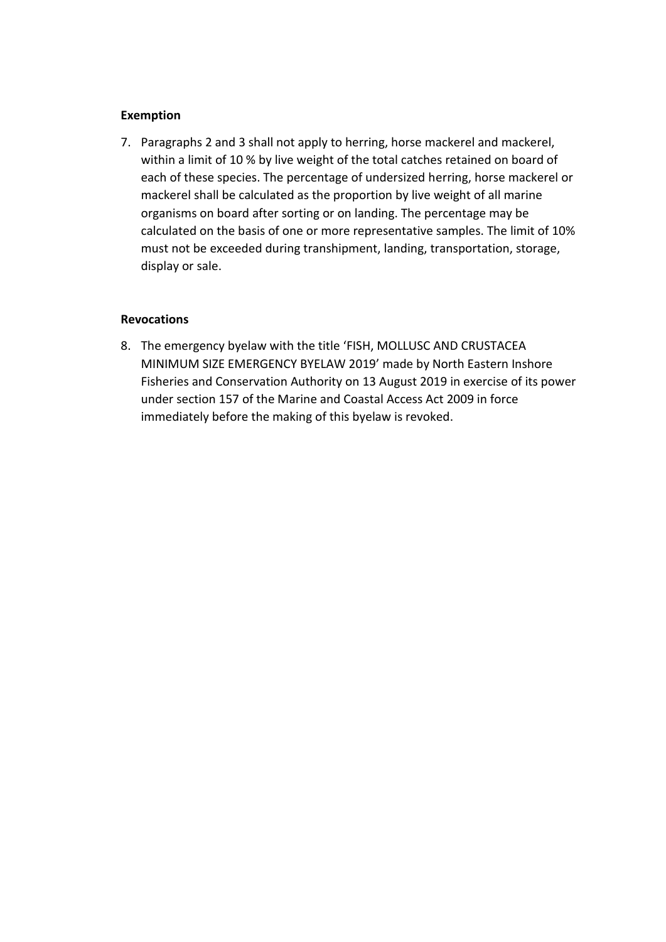### **Exemption**

7. Paragraphs 2 and 3 shall not apply to herring, horse mackerel and mackerel, within a limit of 10 % by live weight of the total catches retained on board of each of these species. The percentage of undersized herring, horse mackerel or mackerel shall be calculated as the proportion by live weight of all marine organisms on board after sorting or on landing. The percentage may be calculated on the basis of one or more representative samples. The limit of 10% must not be exceeded during transhipment, landing, transportation, storage, display or sale.

### **Revocations**

8. The emergency byelaw with the title 'FISH, MOLLUSC AND CRUSTACEA MINIMUM SIZE EMERGENCY BYELAW 2019' made by North Eastern Inshore Fisheries and Conservation Authority on 13 August 2019 in exercise of its power under section 157 of the Marine and Coastal Access Act 2009 in force immediately before the making of this byelaw is revoked.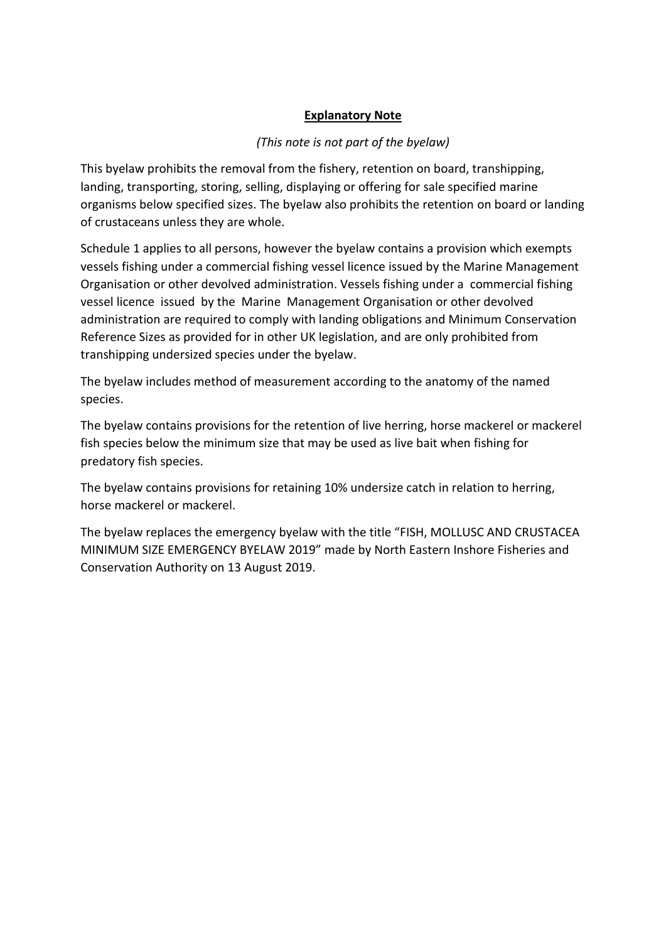## **Explanatory Note**

### *(This note is not part of the byelaw)*

This byelaw prohibits the removal from the fishery, retention on board, transhipping, landing, transporting, storing, selling, displaying or offering for sale specified marine organisms below specified sizes. The byelaw also prohibits the retention on board or landing of crustaceans unless they are whole.

Schedule 1 applies to all persons, however the byelaw contains a provision which exempts vessels fishing under a commercial fishing vessel licence issued by the Marine Management Organisation or other devolved administration. Vessels fishing under a commercial fishing vessel licence issued by the Marine Management Organisation or other devolved administration are required to comply with landing obligations and Minimum Conservation Reference Sizes as provided for in other UK legislation, and are only prohibited from transhipping undersized species under the byelaw.

The byelaw includes method of measurement according to the anatomy of the named species.

The byelaw contains provisions for the retention of live herring, horse mackerel or mackerel fish species below the minimum size that may be used as live bait when fishing for predatory fish species.

The byelaw contains provisions for retaining 10% undersize catch in relation to herring, horse mackerel or mackerel.

The byelaw replaces the emergency byelaw with the title "FISH, MOLLUSC AND CRUSTACEA MINIMUM SIZE EMERGENCY BYELAW 2019" made by North Eastern Inshore Fisheries and Conservation Authority on 13 August 2019.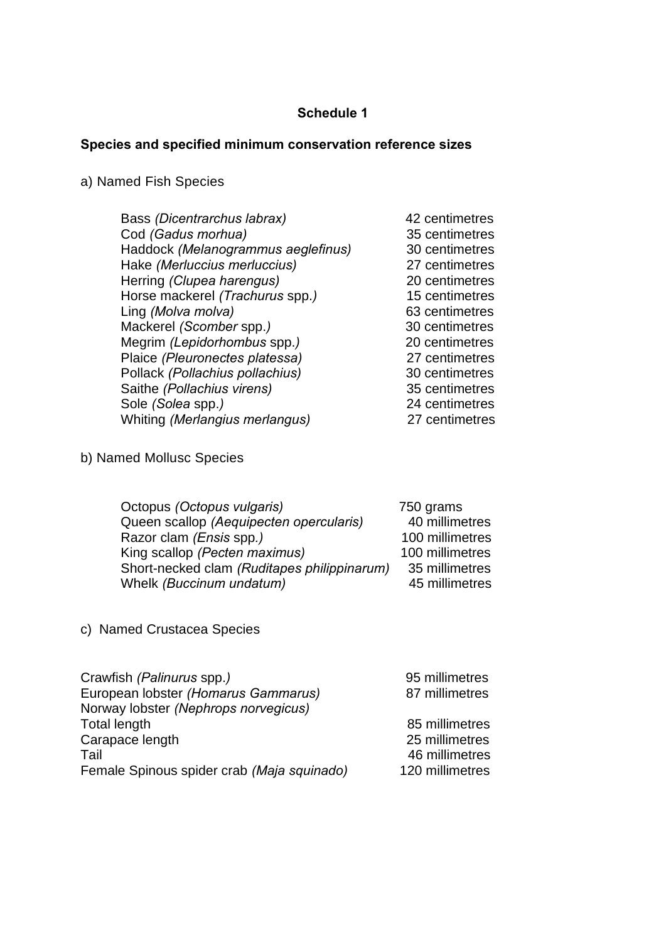# **Schedule 1**

# **Species and specified minimum conservation reference sizes**

# a) Named Fish Species

| Bass (Dicentrarchus labrax)        | 42 centimetres |
|------------------------------------|----------------|
| Cod (Gadus morhua)                 | 35 centimetres |
| Haddock (Melanogrammus aeglefinus) | 30 centimetres |
| Hake (Merluccius merluccius)       | 27 centimetres |
| Herring (Clupea harengus)          | 20 centimetres |
| Horse mackerel (Trachurus spp.)    | 15 centimetres |
| Ling (Molva molva)                 | 63 centimetres |
| Mackerel (Scomber spp.)            | 30 centimetres |
| Megrim (Lepidorhombus spp.)        | 20 centimetres |
| Plaice (Pleuronectes platessa)     | 27 centimetres |
| Pollack (Pollachius pollachius)    | 30 centimetres |
| Saithe (Pollachius virens)         | 35 centimetres |
| Sole (Solea spp.)                  | 24 centimetres |
| Whiting (Merlangius merlangus)     | 27 centimetres |
|                                    |                |

b) Named Mollusc Species

| Octopus (Octopus vulgaris)                  | 750 grams       |
|---------------------------------------------|-----------------|
| Queen scallop (Aequipecten opercularis)     | 40 millimetres  |
| Razor clam ( <i>Ensis</i> spp.)             | 100 millimetres |
| King scallop (Pecten maximus)               | 100 millimetres |
| Short-necked clam (Ruditapes philippinarum) | 35 millimetres  |
| Whelk (Buccinum undatum)                    | 45 millimetres  |
|                                             |                 |

c) Named Crustacea Species

| Crawfish (Palinurus spp.)                  | 95 millimetres  |
|--------------------------------------------|-----------------|
| European lobster (Homarus Gammarus)        | 87 millimetres  |
| Norway lobster (Nephrops norvegicus)       |                 |
| Total length                               | 85 millimetres  |
| Carapace length                            | 25 millimetres  |
| Tail                                       | 46 millimetres  |
| Female Spinous spider crab (Maja squinado) | 120 millimetres |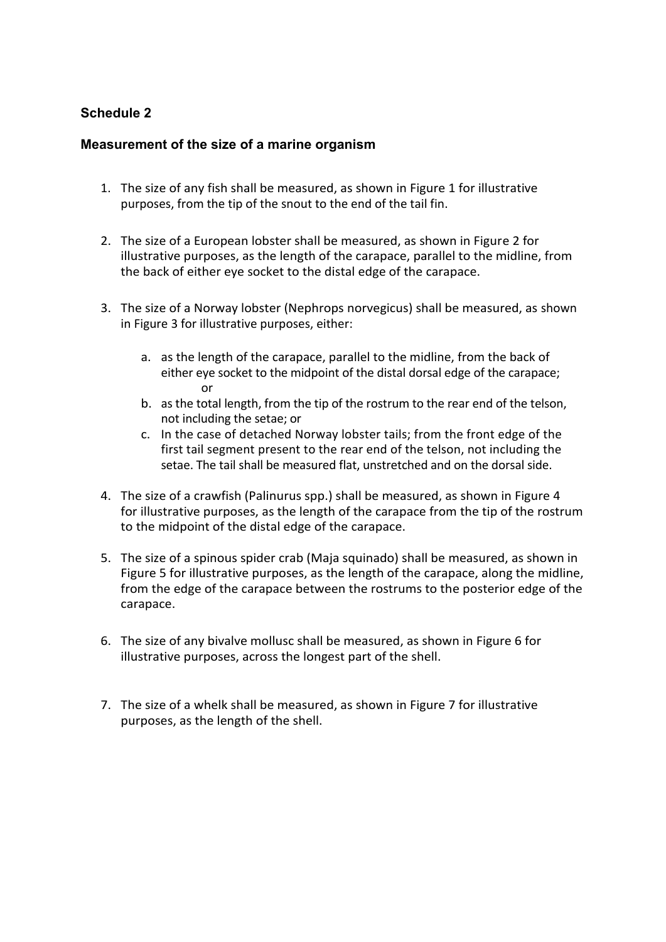### **Schedule 2**

### **Measurement of the size of a marine organism**

- 1. The size of any fish shall be measured, as shown in Figure 1 for illustrative purposes, from the tip of the snout to the end of the tail fin.
- 2. The size of a European lobster shall be measured, as shown in Figure 2 for illustrative purposes, as the length of the carapace, parallel to the midline, from the back of either eye socket to the distal edge of the carapace.
- 3. The size of a Norway lobster (Nephrops norvegicus) shall be measured, as shown in Figure 3 for illustrative purposes, either:
	- a. as the length of the carapace, parallel to the midline, from the back of either eye socket to the midpoint of the distal dorsal edge of the carapace; or
	- b. as the total length, from the tip of the rostrum to the rear end of the telson, not including the setae; or
	- c. In the case of detached Norway lobster tails; from the front edge of the first tail segment present to the rear end of the telson, not including the setae. The tail shall be measured flat, unstretched and on the dorsal side.
- 4. The size of a crawfish (Palinurus spp.) shall be measured, as shown in Figure 4 for illustrative purposes, as the length of the carapace from the tip of the rostrum to the midpoint of the distal edge of the carapace.
- 5. The size of a spinous spider crab (Maja squinado) shall be measured, as shown in Figure 5 for illustrative purposes, as the length of the carapace, along the midline, from the edge of the carapace between the rostrums to the posterior edge of the carapace.
- 6. The size of any bivalve mollusc shall be measured, as shown in Figure 6 for illustrative purposes, across the longest part of the shell.
- 7. The size of a whelk shall be measured, as shown in Figure 7 for illustrative purposes, as the length of the shell.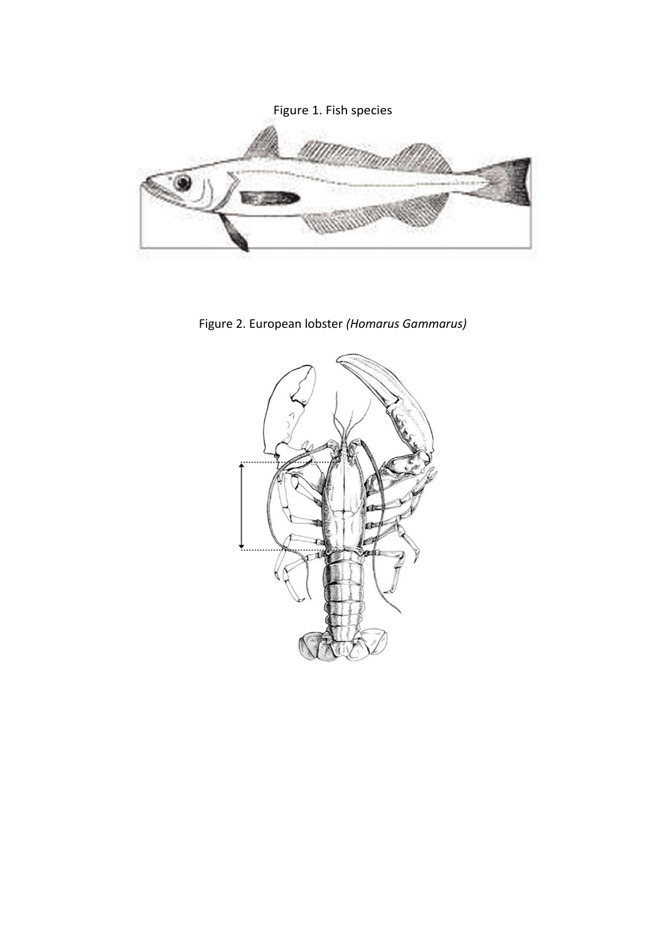

Figure 2. European lobster *(Homarus Gammarus)*

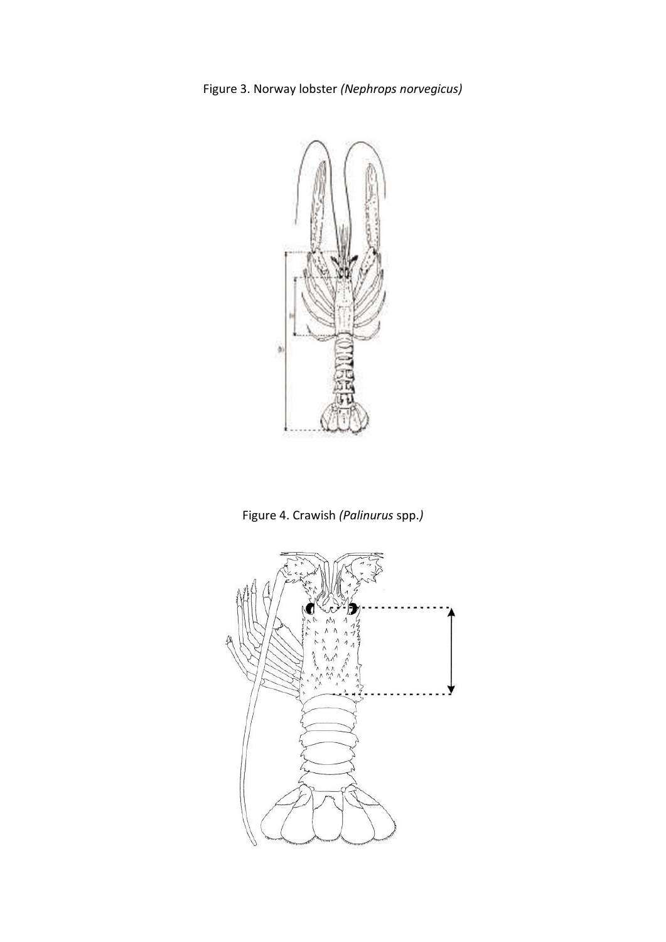

Figure 4. Crawish *(Palinurus* spp.*)*

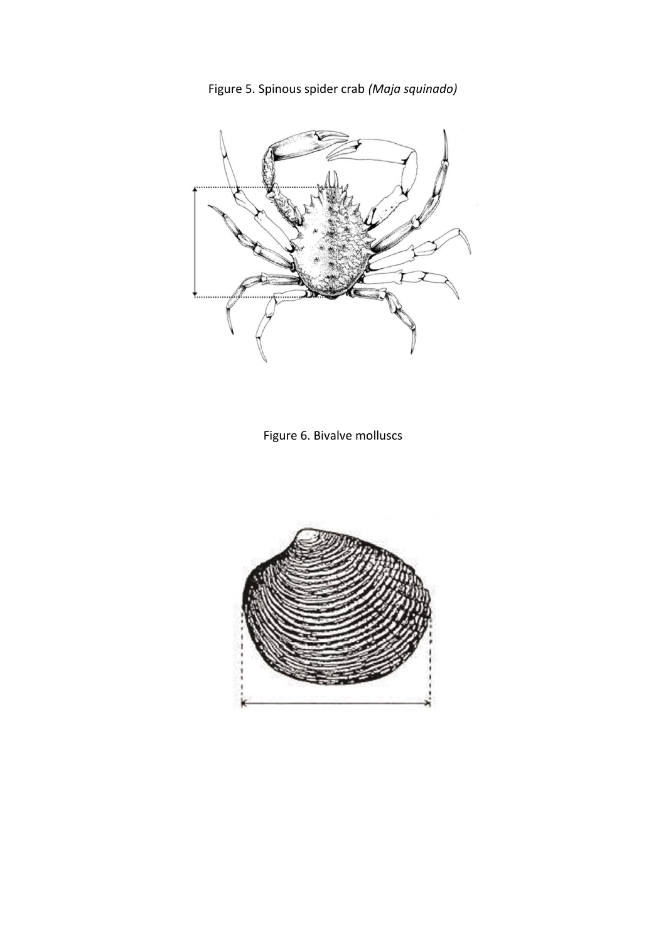



Figure 6. Bivalve molluscs